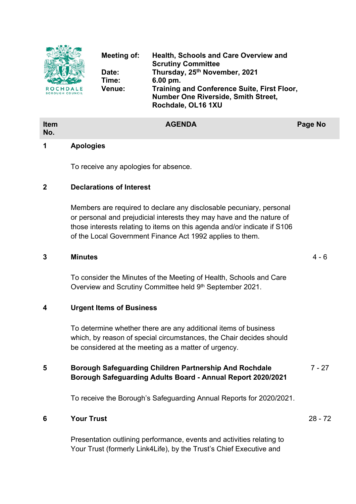

| Item<br>No. | <b>AGENDA</b> | Page No |
|-------------|---------------|---------|
|             |               |         |

## **1 Apologies**

To receive any apologies for absence.

# **2 Declarations of Interest**

Members are required to declare any disclosable pecuniary, personal or personal and prejudicial interests they may have and the nature of those interests relating to items on this agenda and/or indicate if S106 of the Local Government Finance Act 1992 applies to them.

### **3 Minutes** 4 - 6

To consider the Minutes of the Meeting of Health, Schools and Care Overview and Scrutiny Committee held 9<sup>th</sup> September 2021.

## **4 Urgent Items of Business**

To determine whether there are any additional items of business which, by reason of special circumstances, the Chair decides should be considered at the meeting as a matter of urgency.

#### **5 Borough Safeguarding Children Partnership And Rochdale Borough Safeguarding Adults Board - Annual Report 2020/2021** 7 - 27

To receive the Borough's Safeguarding Annual Reports for 2020/2021.

# **6 Your Trust** 28 - 72

Presentation outlining performance, events and activities relating to Your Trust (formerly Link4Life), by the Trust's Chief Executive and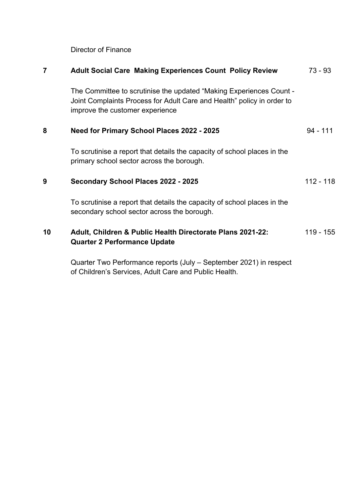Director of Finance

| 7  | <b>Adult Social Care Making Experiences Count Policy Review</b>                                                                                                                  | 73 - 93     |
|----|----------------------------------------------------------------------------------------------------------------------------------------------------------------------------------|-------------|
|    | The Committee to scrutinise the updated "Making Experiences Count -<br>Joint Complaints Process for Adult Care and Health" policy in order to<br>improve the customer experience |             |
| 8  | <b>Need for Primary School Places 2022 - 2025</b>                                                                                                                                | $94 - 111$  |
|    | To scrutinise a report that details the capacity of school places in the<br>primary school sector across the borough.                                                            |             |
| 9  | Secondary School Places 2022 - 2025                                                                                                                                              | $112 - 118$ |
|    | To scrutinise a report that details the capacity of school places in the<br>secondary school sector across the borough.                                                          |             |
| 10 | Adult, Children & Public Health Directorate Plans 2021-22:<br><b>Quarter 2 Performance Update</b>                                                                                | 119 - 155   |
|    | Quarter Two Performance reports (July – September 2021) in respect                                                                                                               |             |

of Children's Services, Adult Care and Public Health.